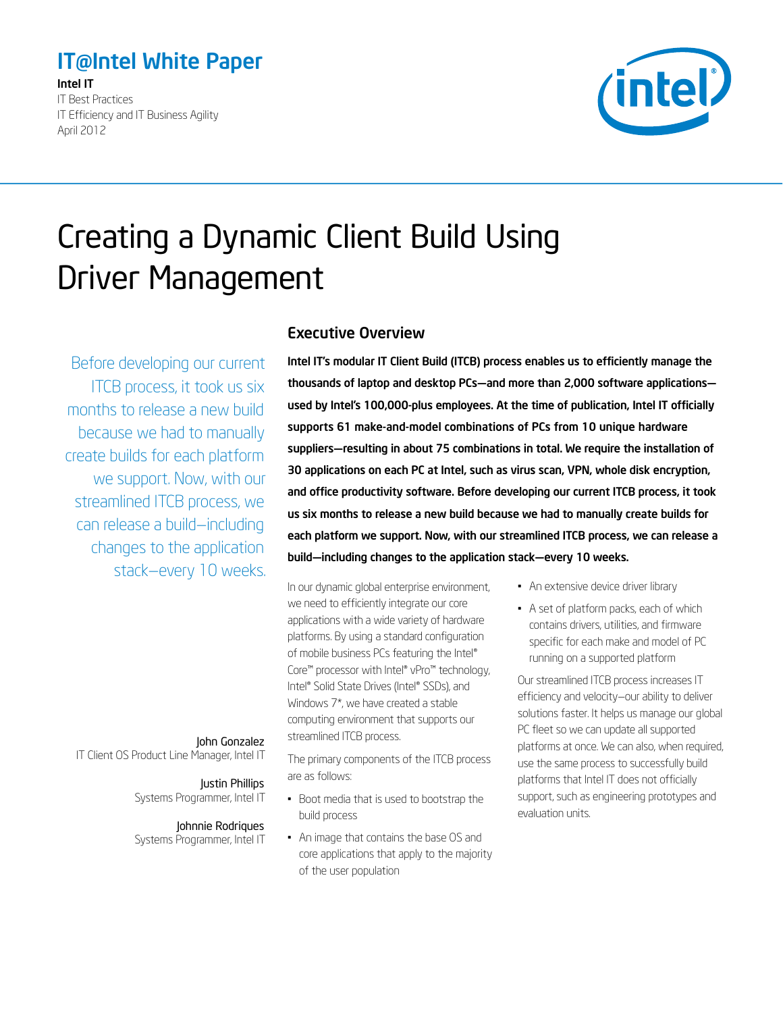# <span id="page-0-0"></span>IT@Intel White Paper

Intel IT IT Best Practices IT Efficiency and IT Business Agility April 2012



# Creating a Dynamic Client Build Using Driver Management

Before developing our current ITCB process, it took us six months to release a new build because we had to manually create builds for each platform we support. Now, with our streamlined ITCB process, we can release a build—including changes to the application stack—every 10 weeks.

#### Executive Overview

Intel IT's modular IT Client Build (ITCB) process enables us to efficiently manage the thousands of laptop and desktop PCs—and more than 2,000 software applications used by Intel's 100,000-plus employees. At the time of publication, Intel IT officially supports 61 make-and-model combinations of PCs from 10 unique hardware suppliers—resulting in about 75 combinations in total. We require the installation of 30 applications on each PC at Intel, such as virus scan, VPN, whole disk encryption, and office productivity software. Before developing our current ITCB process, it took us six months to release a new build because we had to manually create builds for each platform we support. Now, with our streamlined ITCB process, we can release a build—including changes to the application stack—every 10 weeks.

In our dynamic global enterprise environment, we need to efficiently integrate our core applications with a wide variety of hardware platforms. By using a standard configuration of mobile business PCs featuring the Intel® Core™ processor with Intel® vPro™ technology, Intel® Solid State Drives (Intel® SSDs), and Windows 7\*, we have created a stable computing environment that supports our streamlined ITCB process.

The primary components of the ITCB process are as follows:

- Boot media that is used to bootstrap the build process
- • An image that contains the base OS and core applications that apply to the majority of the user population
- An extensive device driver library
- • A set of platform packs, each of which contains drivers, utilities, and firmware specific for each make and model of PC running on a supported platform

Our streamlined ITCB process increases IT efficiency and velocity—our ability to deliver solutions faster. It helps us manage our global PC fleet so we can update all supported platforms at once. We can also, when required, use the same process to successfully build platforms that Intel IT does not officially support, such as engineering prototypes and evaluation units.

#### John Gonzalez

IT Client OS Product Line Manager, Intel IT

#### Justin Phillips

Systems Programmer, Intel IT

#### Johnnie Rodriques

Systems Programmer, Intel IT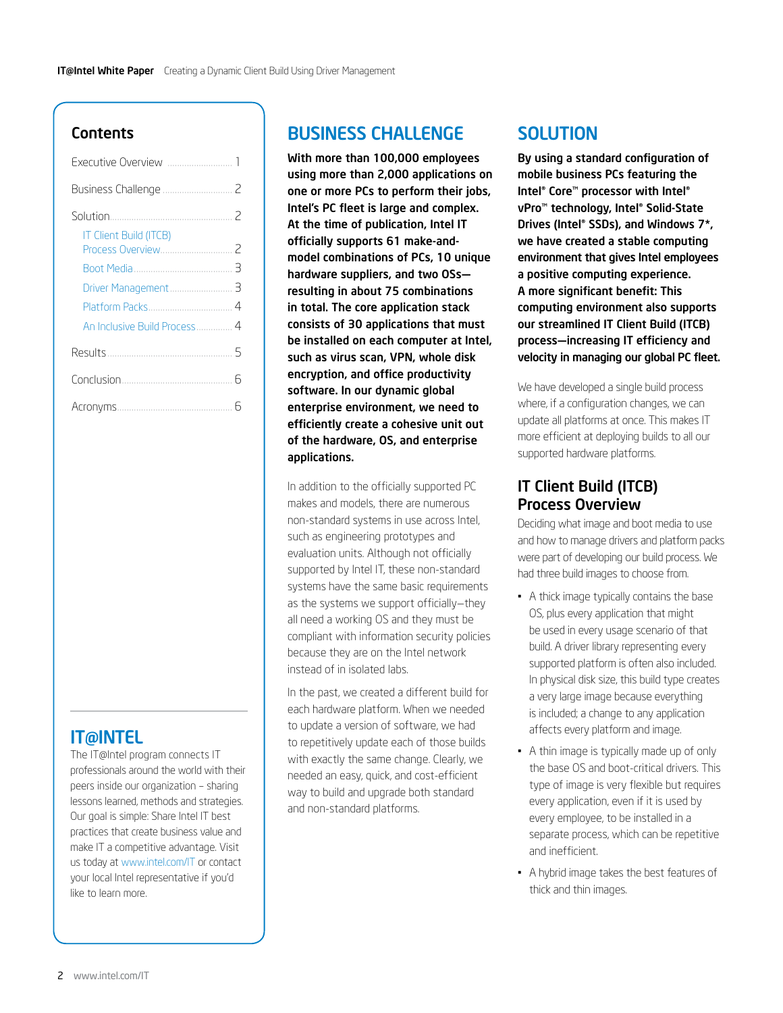#### **Contents**

| <b>IT Client Build (ITCB)</b> |
|-------------------------------|
|                               |
|                               |
|                               |
|                               |
| An Inclusive Build Process 4  |
|                               |
|                               |
|                               |

# **IT@INTEL**

The IT@Intel program connects IT professionals around the world with their peers inside our organization – sharing lessons learned, methods and strategies. Our goal is simple: Share Intel IT best practices that create business value and make IT a competitive advantage. Visit us today at [www.intel.com/IT](http://www.intel.com/IT) or contact your local Intel representative if you'd like to learn more.

# Business Challenge

With more than 100,000 employees using more than 2,000 applications on one or more PCs to perform their jobs, Intel's PC fleet is large and complex. At the time of publication, Intel IT officially supports 61 make-andmodel combinations of PCs, 10 unique hardware suppliers, and two OSs resulting in about 75 combinations in total. The core application stack consists of 30 applications that must be installed on each computer at Intel, such as virus scan, VPN, whole disk encryption, and office productivity software. In our dynamic global enterprise environment, we need to efficiently create a cohesive unit out of the hardware, OS, and enterprise applications.

In addition to the officially supported PC makes and models, there are numerous non‑standard systems in use across Intel, such as engineering prototypes and evaluation units. Although not officially supported by Intel IT, these non-standard systems have the same basic requirements as the systems we support officially—they all need a working OS and they must be compliant with information security policies because they are on the Intel network instead of in isolated labs.

In the past, we created a different build for each hardware platform. When we needed to update a version of software, we had to repetitively update each of those builds with exactly the same change. Clearly, we needed an easy, quick, and cost-efficient way to build and upgrade both standard and non-standard platforms.

## **SOLUTION**

By using a standard configuration of mobile business PCs featuring the Intel® Core™ processor with Intel® vPro™ technology, Intel® Solid-State Drives (Intel® SSDs), and Windows 7\*, we have created a stable computing environment that gives Intel employees a positive computing experience. A more significant benefit: This computing environment also supports our streamlined IT Client Build (ITCB) process—increasing IT efficiency and velocity in managing our global PC fleet.

We have developed a single build process where, if a configuration changes, we can update all platforms at once. This makes IT more efficient at deploying builds to all our supported hardware platforms.

### IT Client Build (ITCB) Process Overview

Deciding what image and boot media to use and how to manage drivers and platform packs were part of developing our build process. We had three build images to choose from.

- A thick image typically contains the base OS, plus every application that might be used in every usage scenario of that build. A driver library representing every supported platform is often also included. In physical disk size, this build type creates a very large image because everything is included; a change to any application affects every platform and image.
- A thin image is typically made up of only the base OS and boot-critical drivers. This type of image is very flexible but requires every application, even if it is used by every employee, to be installed in a separate process, which can be repetitive and inefficient.
- • A hybrid image takes the best features of thick and thin images.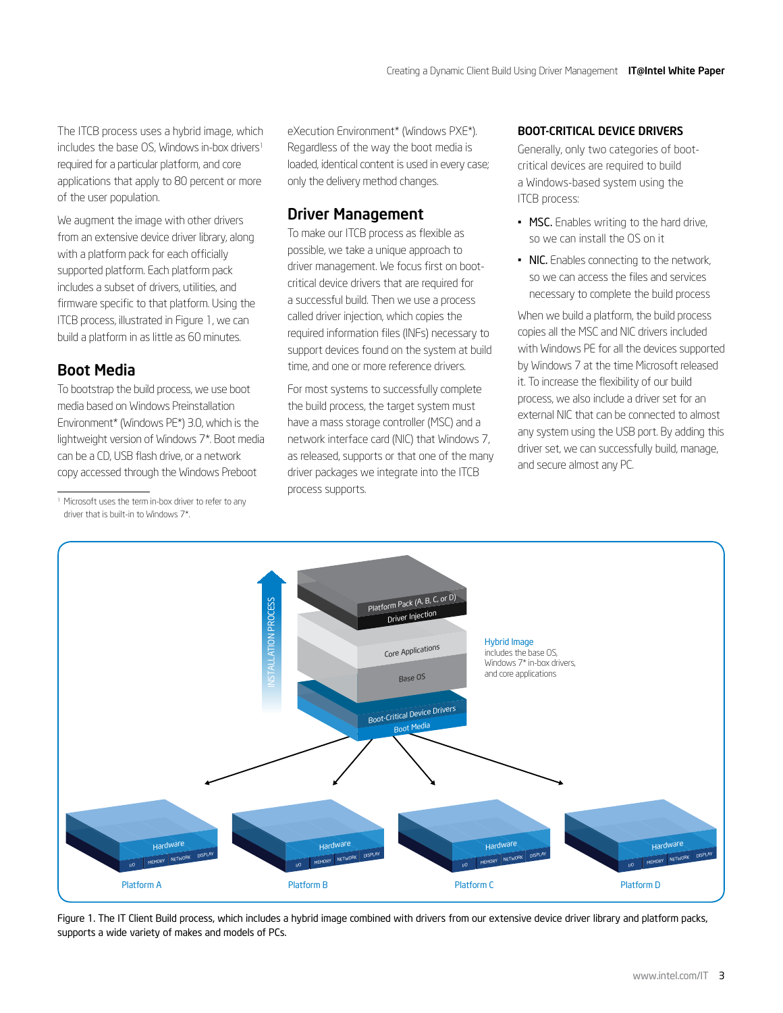<span id="page-2-0"></span>The ITCB process uses a hybrid image, which includes the base OS, Windows in-box drivers<sup>1</sup> required for a particular platform, and core applications that apply to 80 percent or more of the user population.

We augment the image with other drivers from an extensive device driver library, along with a platform pack for each officially supported platform. Each platform pack includes a subset of drivers, utilities, and firmware specific to that platform. Using the ITCB process, illustrated in Figure 1, we can build a platform in as little as 60 minutes.

### Boot Media

To bootstrap the build process, we use boot media based on Windows Preinstallation Environment\* (Windows PE\*) 3.0, which is the lightweight version of Windows 7\*. Boot media can be a CD, USB flash drive, or a network copy accessed through the Windows Preboot

eXecution Environment\* (Windows PXE\*). Regardless of the way the boot media is loaded, identical content is used in every case; only the delivery method changes.

## Driver Management

To make our ITCB process as flexible as possible, we take a unique approach to driver management. We focus first on bootcritical device drivers that are required for a successful build. Then we use a process called driver injection, which copies the required information files (INFs) necessary to support devices found on the system at build time, and one or more reference drivers.

For most systems to successfully complete the build process, the target system must have a mass storage controller (MSC) and a network interface card (NIC) that Windows 7, as released, supports or that one of the many driver packages we integrate into the ITCB process supports.

#### Boot-Critical Device Drivers

Generally, only two categories of bootcritical devices are required to build a Windows-based system using the ITCB process:

- MSC. Enables writing to the hard drive, so we can install the OS on it
- NIC. Enables connecting to the network, so we can access the files and services necessary to complete the build process

When we build a platform, the build process copies all the MSC and NIC drivers included with Windows PE for all the devices supported by Windows 7 at the time Microsoft released it. To increase the flexibility of our build process, we also include a driver set for an external NIC that can be connected to almost any system using the USB port. By adding this driver set, we can successfully build, manage, and secure almost any PC.



Figure 1. The IT Client Build process, which includes a hybrid image combined with drivers from our extensive device driver library and platform packs, supports a wide variety of makes and models of PCs.

<sup>&</sup>lt;sup>1</sup> Microsoft uses the term in-box driver to refer to any driver that is built-in to Windows 7\*.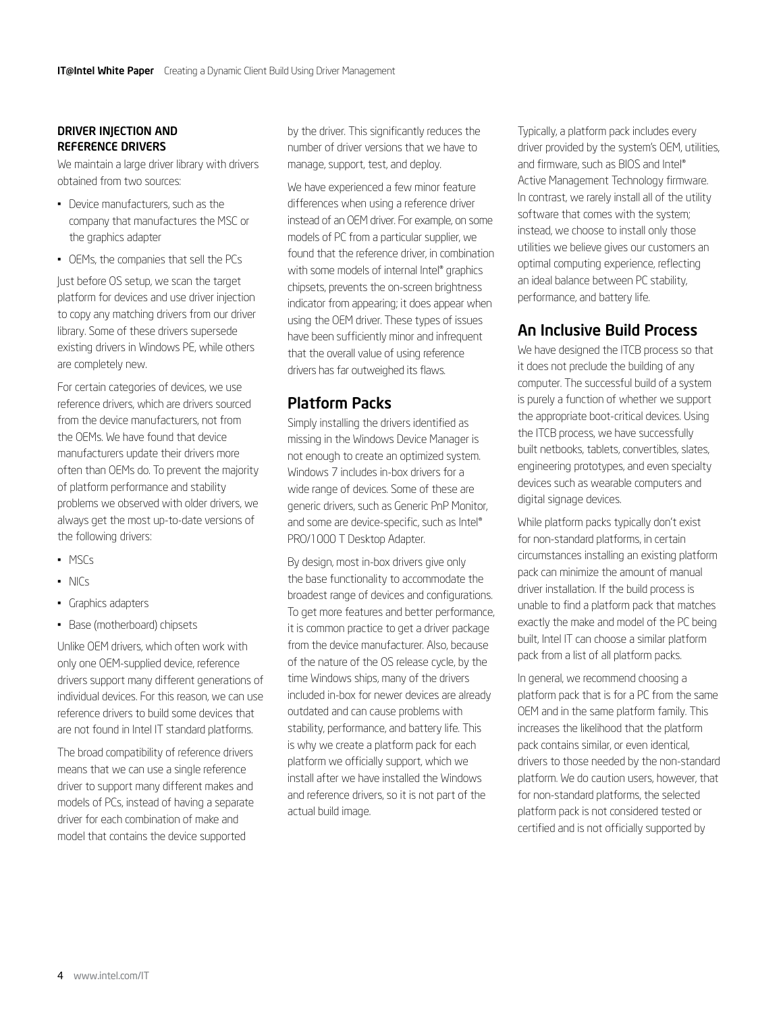#### <span id="page-3-0"></span>Driver Injection and Reference Drivers

We maintain a large driver library with drivers obtained from two sources:

- Device manufacturers, such as the company that manufactures the MSC or the graphics adapter
- • OEMs, the companies that sell the PCs

Just before OS setup, we scan the target platform for devices and use driver injection to copy any matching drivers from our driver library. Some of these drivers supersede existing drivers in Windows PE, while others are completely new.

For certain categories of devices, we use reference drivers, which are drivers sourced from the device manufacturers, not from the OEMs. We have found that device manufacturers update their drivers more often than OEMs do. To prevent the majority of platform performance and stability problems we observed with older drivers, we always get the most up-to-date versions of the following drivers:

- • MSCs
- • NICs
- • Graphics adapters
- Base (motherboard) chipsets

Unlike OEM drivers, which often work with only one OEM-supplied device, reference drivers support many different generations of individual devices. For this reason, we can use reference drivers to build some devices that are not found in Intel IT standard platforms.

The broad compatibility of reference drivers means that we can use a single reference driver to support many different makes and models of PCs, instead of having a separate driver for each combination of make and model that contains the device supported

by the driver. This significantly reduces the number of driver versions that we have to manage, support, test, and deploy.

We have experienced a few minor feature differences when using a reference driver instead of an OEM driver. For example, on some models of PC from a particular supplier, we found that the reference driver, in combination with some models of internal Intel® graphics chipsets, prevents the on-screen brightness indicator from appearing; it does appear when using the OEM driver. These types of issues have been sufficiently minor and infrequent that the overall value of using reference drivers has far outweighed its flaws.

#### Platform Packs

Simply installing the drivers identified as missing in the Windows Device Manager is not enough to create an optimized system. Windows 7 includes in-box drivers for a wide range of devices. Some of these are generic drivers, such as Generic PnP Monitor, and some are device-specific, such as Intel® PRO/1000 T Desktop Adapter.

By design, most in-box drivers give only the base functionality to accommodate the broadest range of devices and configurations. To get more features and better performance, it is common practice to get a driver package from the device manufacturer. Also, because of the nature of the OS release cycle, by the time Windows ships, many of the drivers included in-box for newer devices are already outdated and can cause problems with stability, performance, and battery life. This is why we create a platform pack for each platform we officially support, which we install after we have installed the Windows and reference drivers, so it is not part of the actual build image.

Typically, a platform pack includes every driver provided by the system's OEM, utilities, and firmware, such as BIOS and Intel® Active Management Technology firmware. In contrast, we rarely install all of the utility software that comes with the system; instead, we choose to install only those utilities we believe gives our customers an optimal computing experience, reflecting an ideal balance between PC stability, performance, and battery life.

## An Inclusive Build Process

We have designed the ITCB process so that it does not preclude the building of any computer. The successful build of a system is purely a function of whether we support the appropriate boot-critical devices. Using the ITCB process, we have successfully built netbooks, tablets, convertibles, slates, engineering prototypes, and even specialty devices such as wearable computers and digital signage devices.

While platform packs typically don't exist for non-standard platforms, in certain circumstances installing an existing platform pack can minimize the amount of manual driver installation. If the build process is unable to find a platform pack that matches exactly the make and model of the PC being built, Intel IT can choose a similar platform pack from a list of all platform packs.

In general, we recommend choosing a platform pack that is for a PC from the same OEM and in the same platform family. This increases the likelihood that the platform pack contains similar, or even identical, drivers to those needed by the non-standard platform. We do caution users, however, that for non-standard platforms, the selected platform pack is not considered tested or certified and is not officially supported by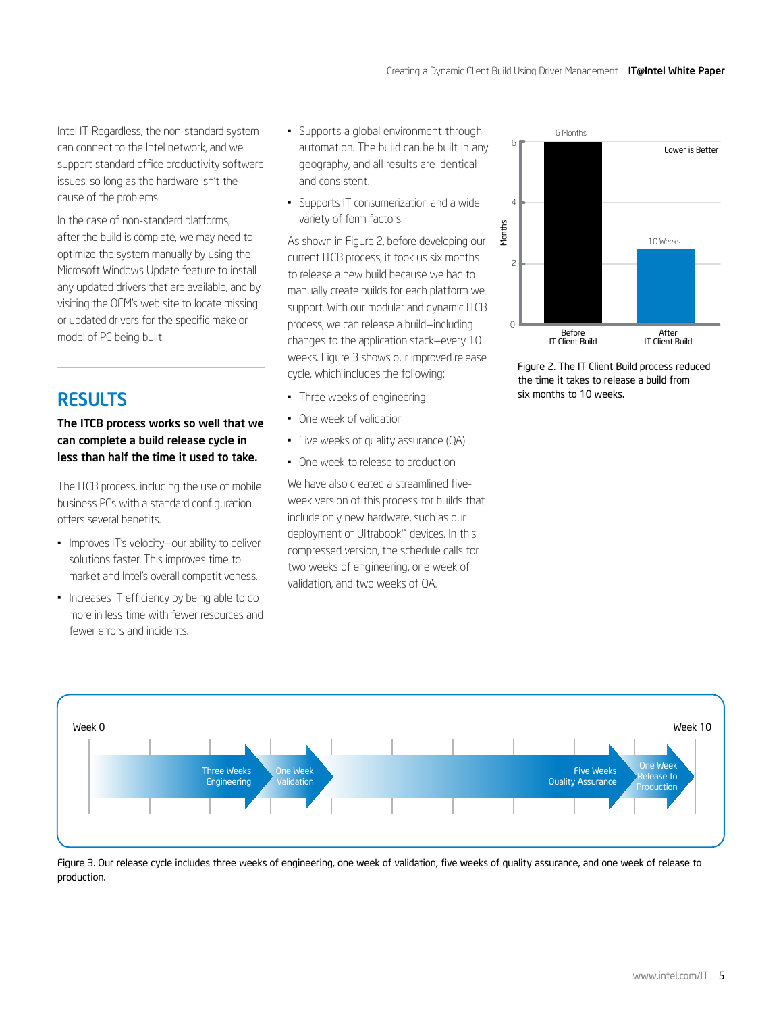<span id="page-4-0"></span>Intel IT. Regardless, the non-standard system can connect to the Intel network, and we support standard office productivity software issues, so long as the hardware isn't the cause of the problems.

In the case of non-standard platforms, after the build is complete, we may need to optimize the system manually by using the Microsoft Windows Update feature to install any updated drivers that are available, and by visiting the OEM's web site to locate missing or updated drivers for the specific make or model of PC being built.

# **RESULTS**

#### The ITCB process works so well that we can complete a build release cycle in less than half the time it used to take.

The ITCB process, including the use of mobile business PCs with a standard configuration offers several benefits.

- Improves IT's velocity-our ability to deliver solutions faster. This improves time to market and Intel's overall competitiveness.
- Increases IT efficiency by being able to do more in less time with fewer resources and fewer errors and incidents.
- • Supports a global environment through automation. The build can be built in any geography, and all results are identical and consistent.
- • Supports IT consumerization and a wide variety of form factors.

As shown in Figure 2, before developing our current ITCB process, it took us six months to release a new build because we had to manually create builds for each platform we support. With our modular and dynamic ITCB process, we can release a build—including changes to the application stack—every 10 weeks. Figure 3 shows our improved release cycle, which includes the following:

- • Three weeks of engineering
- • One week of validation
- Five weeks of quality assurance (QA)
- One week to release to production

We have also created a streamlined fiveweek version of this process for builds that include only new hardware, such as our deployment of Ultrabook™ devices. In this compressed version, the schedule calls for two weeks of engineering, one week of validation, and two weeks of QA.



Figure 2. The IT Client Build process reduced the time it takes to release a build from six months to 10 weeks.



Figure 3. Our release cycle includes three weeks of engineering, one week of validation, five weeks of quality assurance, and one week of release to production.